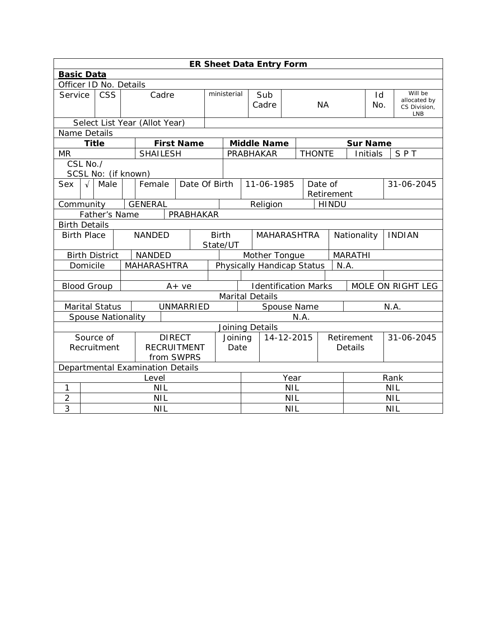|                                   | <b>ER Sheet Data Entry Form</b>                    |                           |       |                               |  |                   |              |                                |                                                  |                            |  |               |              |                     |                         |               |
|-----------------------------------|----------------------------------------------------|---------------------------|-------|-------------------------------|--|-------------------|--------------|--------------------------------|--------------------------------------------------|----------------------------|--|---------------|--------------|---------------------|-------------------------|---------------|
|                                   | <b>Basic Data</b>                                  |                           |       |                               |  |                   |              |                                |                                                  |                            |  |               |              |                     |                         |               |
|                                   |                                                    | Officer ID No. Details    |       |                               |  |                   |              |                                |                                                  |                            |  |               |              |                     |                         |               |
| Service                           |                                                    | <b>CSS</b>                | Cadre |                               |  | ministerial       |              |                                | Sub                                              |                            |  |               | Id           |                     | Will be<br>allocated by |               |
|                                   |                                                    |                           |       |                               |  |                   |              | Cadre                          |                                                  | <b>NA</b>                  |  |               | No.          | CS Division,<br>LNB |                         |               |
|                                   |                                                    |                           |       | Select List Year (Allot Year) |  |                   |              |                                |                                                  |                            |  |               |              |                     |                         |               |
| Name Details                      |                                                    |                           |       |                               |  |                   |              |                                |                                                  |                            |  |               |              |                     |                         |               |
|                                   | <b>Title</b>                                       |                           |       |                               |  | <b>First Name</b> |              |                                |                                                  | <b>Middle Name</b>         |  |               |              | <b>Sur Name</b>     |                         |               |
| MR                                |                                                    |                           |       | <b>SHAILESH</b>               |  |                   |              |                                |                                                  | PRABHAKAR                  |  | <b>THONTE</b> |              |                     | Initials                | SPT           |
|                                   | CSL No./                                           |                           |       |                               |  |                   |              |                                |                                                  |                            |  |               |              |                     |                         |               |
|                                   |                                                    | SCSL No: (if known)       |       |                               |  |                   |              |                                |                                                  |                            |  |               |              |                     |                         |               |
| Sex                               | $\sqrt{ }$                                         | Male                      |       | Female                        |  | Date Of Birth     |              |                                |                                                  | 11-06-1985                 |  |               | Date of      |                     |                         | 31-06-2045    |
|                                   |                                                    |                           |       |                               |  |                   |              |                                |                                                  |                            |  | Retirement    |              |                     |                         |               |
| Community                         |                                                    |                           |       | <b>GENERAL</b>                |  |                   |              |                                |                                                  | Religion                   |  |               | <b>HINDU</b> |                     |                         |               |
|                                   | PRABHAKAR<br>Father's Name<br><b>Birth Details</b> |                           |       |                               |  |                   |              |                                |                                                  |                            |  |               |              |                     |                         |               |
| <b>Birth Place</b>                |                                                    |                           |       | <b>NANDED</b>                 |  |                   | <b>Birth</b> |                                |                                                  |                            |  |               |              |                     |                         | <b>INDIAN</b> |
|                                   |                                                    |                           |       |                               |  |                   |              | <b>MAHARASHTRA</b><br>State/UT |                                                  |                            |  | Nationality   |              |                     |                         |               |
|                                   |                                                    | <b>Birth District</b>     |       | <b>NANDED</b>                 |  |                   |              |                                | <b>MARATHI</b><br>Mother Tongue                  |                            |  |               |              |                     |                         |               |
|                                   | Domicile                                           |                           |       | <b>MAHARASHTRA</b>            |  |                   |              |                                |                                                  | Physically Handicap Status |  |               |              | N.A.                |                         |               |
|                                   |                                                    |                           |       |                               |  |                   |              |                                |                                                  |                            |  |               |              |                     |                         |               |
| <b>Blood Group</b>                |                                                    |                           |       |                               |  | $A + ve$          |              |                                | <b>Identification Marks</b><br>MOLE ON RIGHT LEG |                            |  |               |              |                     |                         |               |
|                                   |                                                    |                           |       |                               |  |                   |              |                                |                                                  | <b>Marital Details</b>     |  |               |              |                     |                         |               |
|                                   |                                                    | <b>Marital Status</b>     |       |                               |  | <b>UNMARRIED</b>  |              |                                | Spouse Name<br>N.A.                              |                            |  |               |              |                     |                         |               |
|                                   |                                                    | <b>Spouse Nationality</b> |       |                               |  |                   |              | N.A.                           |                                                  |                            |  |               |              |                     |                         |               |
|                                   |                                                    |                           |       |                               |  |                   |              |                                |                                                  | Joining Details            |  |               |              |                     |                         |               |
|                                   |                                                    | Source of                 |       |                               |  | <b>DIRECT</b>     |              | Joining                        |                                                  | 14-12-2015                 |  | Retirement    |              |                     | 31-06-2045              |               |
| <b>RECRUITMENT</b><br>Recruitment |                                                    |                           |       | Date                          |  |                   |              |                                | Details                                          |                            |  |               |              |                     |                         |               |
|                                   |                                                    |                           |       |                               |  | from SWPRS        |              |                                |                                                  |                            |  |               |              |                     |                         |               |
|                                   | Departmental Examination Details                   |                           |       |                               |  |                   |              |                                |                                                  |                            |  |               |              |                     |                         |               |
|                                   | Level                                              |                           |       |                               |  |                   | Year         |                                |                                                  | Rank                       |  |               |              |                     |                         |               |
| 1                                 |                                                    |                           |       | <b>NIL</b>                    |  |                   |              |                                | <b>NIL</b>                                       |                            |  |               |              | <b>NIL</b>          |                         |               |
| $\overline{2}$                    | <b>NIL</b>                                         |                           |       |                               |  |                   | <b>NIL</b>   |                                |                                                  |                            |  | <b>NIL</b>    |              |                     |                         |               |
| 3                                 | <b>NIL</b>                                         |                           |       |                               |  |                   |              | <b>NIL</b><br><b>NIL</b>       |                                                  |                            |  |               |              |                     |                         |               |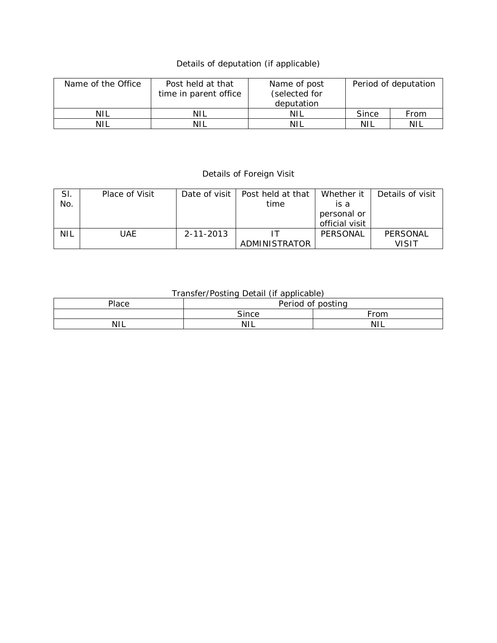## Details of deputation (if applicable)

| Name of the Office | Post held at that<br>time in parent office | Name of post<br>(selected for<br>deputation |       | Period of deputation |
|--------------------|--------------------------------------------|---------------------------------------------|-------|----------------------|
| <b>NIL</b>         | NIL                                        | <b>NIL</b>                                  | Since | From                 |
| <b>NIL</b>         | NIL                                        | NH                                          | NIL   | NIL                  |

## Details of Foreign Visit

| SI. | Place of Visit | Date of visit I | Post held at that | Whether it     | Details of visit |
|-----|----------------|-----------------|-------------------|----------------|------------------|
| No. |                |                 | time              | is a           |                  |
|     |                |                 |                   | personal or    |                  |
|     |                |                 |                   | official visit |                  |
| NIL | UAE            | 2-11-2013       |                   | PERSONAL       | PERSONAL         |
|     |                |                 | ADMINISTRATOR     |                | VISIT            |

## Transfer/Posting Detail (if applicable)

| Place      | Period of posting |            |  |  |  |  |
|------------|-------------------|------------|--|--|--|--|
|            | Since             | ∙r∩m       |  |  |  |  |
| <b>NIL</b> | ΝI<br>╹╹┶         | <b>NIL</b> |  |  |  |  |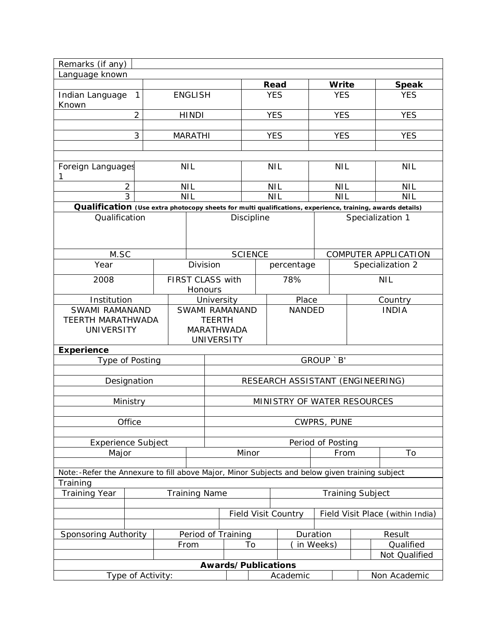| Remarks (if any)                                                                                          |                      |      |                |                                                  |                |                                  |                         |                          |        |                             |
|-----------------------------------------------------------------------------------------------------------|----------------------|------|----------------|--------------------------------------------------|----------------|----------------------------------|-------------------------|--------------------------|--------|-----------------------------|
| Language known                                                                                            |                      |      |                |                                                  |                |                                  |                         |                          |        |                             |
|                                                                                                           |                      |      |                |                                                  |                | Read                             |                         | Write                    |        | <b>Speak</b>                |
| Indian Language<br>$\mathbf{1}$<br>Known                                                                  |                      |      | <b>ENGLISH</b> |                                                  |                | <b>YES</b>                       |                         | <b>YES</b>               |        | <b>YES</b>                  |
| $\overline{2}$                                                                                            |                      |      | <b>HINDI</b>   |                                                  |                | <b>YES</b>                       |                         | <b>YES</b>               |        | <b>YES</b>                  |
|                                                                                                           | 3                    |      | <b>MARATHI</b> |                                                  |                | <b>YES</b>                       |                         | <b>YES</b><br><b>YES</b> |        |                             |
|                                                                                                           |                      |      |                |                                                  |                |                                  |                         |                          |        |                             |
| Foreign Languages<br>1                                                                                    |                      |      | <b>NIL</b>     |                                                  |                | <b>NIL</b>                       |                         | <b>NIL</b>               |        | <b>NIL</b>                  |
| $\overline{2}$                                                                                            |                      |      | <b>NIL</b>     |                                                  |                | <b>NIL</b>                       |                         | <b>NIL</b>               |        | <b>NIL</b>                  |
| 3                                                                                                         |                      |      | <b>NIL</b>     |                                                  |                | <b>NIL</b>                       |                         | <b>NIL</b>               |        | <b>NIL</b>                  |
| Qualification (Use extra photocopy sheets for multi qualifications, experience, training, awards details) |                      |      |                |                                                  |                |                                  |                         |                          |        |                             |
| Qualification                                                                                             |                      |      |                |                                                  | Discipline     |                                  |                         |                          |        | Specialization 1            |
| M.SC                                                                                                      |                      |      |                |                                                  | <b>SCIENCE</b> |                                  |                         |                          |        | <b>COMPUTER APPLICATION</b> |
| Year                                                                                                      |                      |      | Division       |                                                  |                | percentage                       |                         |                          |        | Specialization 2            |
| 2008                                                                                                      |                      |      | Honours        | FIRST CLASS with                                 |                | 78%                              |                         | <b>NIL</b>               |        |                             |
|                                                                                                           | Institution          |      |                |                                                  | University     |                                  |                         |                          |        | Country                     |
| SWAMI RAMANAND                                                                                            |                      |      | SWAMI RAMANAND |                                                  |                | <b>NANDED</b>                    |                         |                          |        | <b>INDIA</b>                |
| <b>TEERTH MARATHWADA</b><br><b>UNIVERSITY</b>                                                             |                      |      |                | <b>TEERTH</b><br>MARATHWADA<br><b>UNIVERSITY</b> |                |                                  |                         |                          |        |                             |
| <b>Experience</b>                                                                                         |                      |      |                |                                                  |                |                                  |                         |                          |        |                             |
| Type of Posting                                                                                           |                      |      |                |                                                  |                |                                  | GROUP `B'               |                          |        |                             |
|                                                                                                           |                      |      |                | RESEARCH ASSISTANT (ENGINEERING)                 |                |                                  |                         |                          |        |                             |
| Designation                                                                                               |                      |      |                |                                                  |                |                                  |                         |                          |        |                             |
| Ministry                                                                                                  |                      |      |                | MINISTRY OF WATER RESOURCES                      |                |                                  |                         |                          |        |                             |
| Office                                                                                                    |                      |      |                | CWPRS, PUNE                                      |                |                                  |                         |                          |        |                             |
|                                                                                                           |                      |      |                |                                                  |                |                                  |                         |                          |        |                             |
| <b>Experience Subject</b><br>Major                                                                        |                      |      |                | Period of Posting<br>Minor                       |                |                                  |                         | From                     |        | To                          |
|                                                                                                           |                      |      |                |                                                  |                |                                  |                         |                          |        |                             |
| Note: -Refer the Annexure to fill above Major, Minor Subjects and below given training subject            |                      |      |                |                                                  |                |                                  |                         |                          |        |                             |
| Training                                                                                                  |                      |      |                |                                                  |                |                                  |                         |                          |        |                             |
| <b>Training Year</b>                                                                                      | <b>Training Name</b> |      |                |                                                  |                |                                  | <b>Training Subject</b> |                          |        |                             |
|                                                                                                           |                      |      |                |                                                  |                |                                  |                         |                          |        |                             |
|                                                                                                           |                      |      |                | <b>Field Visit Country</b>                       |                | Field Visit Place (within India) |                         |                          |        |                             |
| Sponsoring Authority                                                                                      |                      |      |                | Period of Training                               |                |                                  | Duration                |                          | Result |                             |
|                                                                                                           |                      | From |                | To                                               |                | in Weeks)                        |                         | Qualified                |        |                             |
|                                                                                                           |                      |      |                |                                                  |                |                                  |                         | Not Qualified            |        |                             |
|                                                                                                           |                      |      |                | Awards/Publications                              |                |                                  |                         |                          |        |                             |
| Type of Activity:                                                                                         |                      |      |                |                                                  |                | Academic                         |                         |                          |        | Non Academic                |